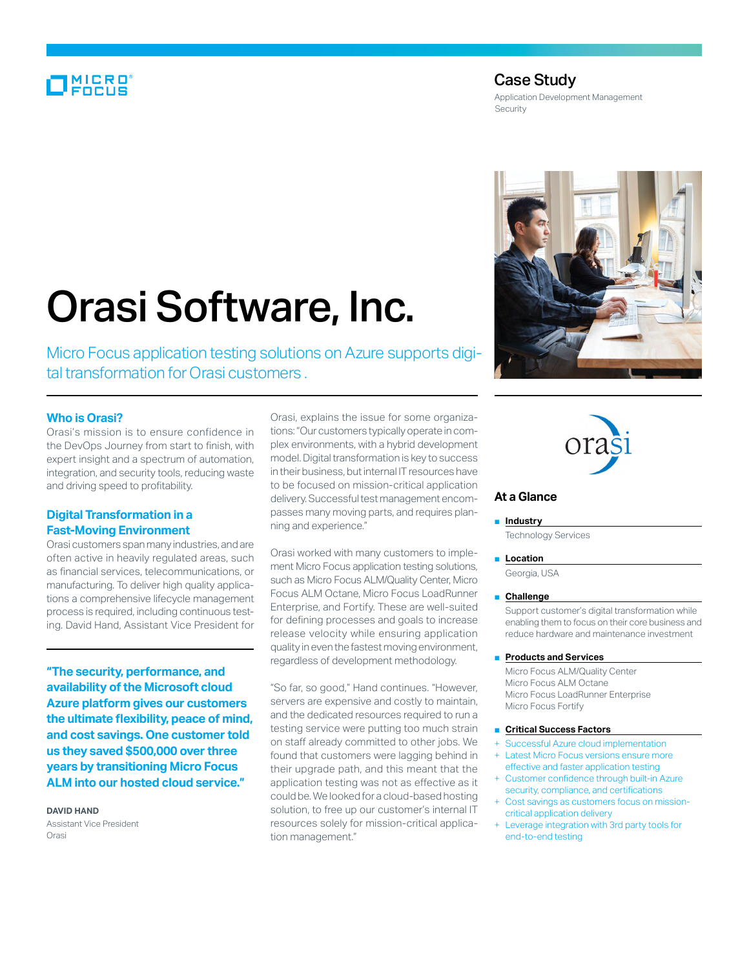# MICRO<br>FOCUS

# Case Study

Application Development Management **Security** 

# Orasi Software, Inc.

Micro Focus application testing solutions on Azure supports digital transformation for Orasi customers .

# **Who is Orasi?**

Orasi's mission is to ensure confidence in the DevOps Journey from start to finish, with expert insight and a spectrum of automation, integration, and security tools, reducing waste and driving speed to profitability.

# **Digital Transformation in a Fast-Moving Environment**

Orasi customers span many industries, and are often active in heavily regulated areas, such as financial services, telecommunications, or manufacturing. To deliver high quality applications a comprehensive lifecycle management process is required, including continuous testing. David Hand, Assistant Vice President for

**"The security, performance, and availability of the Microsoft cloud Azure platform gives our customers the ultimate flexibility, peace of mind, and cost savings. One customer told us they saved \$500,000 over three years by transitioning Micro Focus ALM into our hosted cloud service."**

#### **DAVID HAND**

Assistant Vice President Orasi

Orasi, explains the issue for some organizations: "Our customers typically operate in complex environments, with a hybrid development model. Digital transformation is key to success in their business, but internal IT resources have to be focused on mission-critical application delivery. Successful test management encompasses many moving parts, and requires planning and experience."

Orasi worked with many customers to implement Micro Focus application testing solutions, such as Micro Focus ALM/Quality Center, Micro Focus ALM Octane, Micro Focus LoadRunner Enterprise, and Fortify. These are well-suited for defining processes and goals to increase release velocity while ensuring application quality in even the fastest moving environment, regardless of development methodology.

"So far, so good," Hand continues. "However, servers are expensive and costly to maintain, and the dedicated resources required to run a testing service were putting too much strain on staff already committed to other jobs. We found that customers were lagging behind in their upgrade path, and this meant that the application testing was not as effective as it could be. We looked for a cloud-based hosting solution, to free up our customer's internal IT resources solely for mission-critical application management."





# **At a Glance**

#### ■ **Industry**

Technology Services

#### ■ **Location**

Georgia, USA

#### ■ **Challenge**

Support customer's digital transformation while enabling them to focus on their core business and reduce hardware and maintenance investment

#### ■ **Products and Services**

Micro Focus ALM/Quality Center Micro Focus ALM Octane Micro Focus LoadRunner Enterprise Micro Focus Fortify

#### ■ **Critical Success Factors**

- Successful Azure cloud implementation **Latest Micro Focus versions ensure more**
- effective and faster application testing Customer confidence through built-in Azure
- security, compliance, and certifications Cost savings as customers focus on mission-
- critical application delivery Leverage integration with 3rd party tools for end-to-end testing